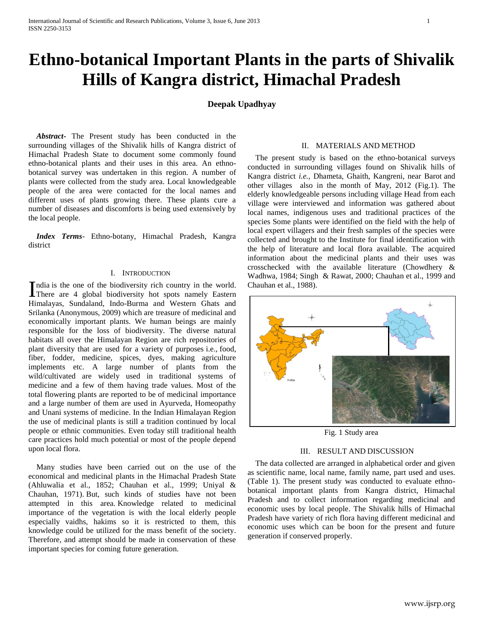# **Ethno-botanical Important Plants in the parts of Shivalik Hills of Kangra district, Himachal Pradesh**

# **Deepak Upadhyay**

 *Abstract***-** The Present study has been conducted in the surrounding villages of the Shivalik hills of Kangra district of Himachal Pradesh State to document some commonly found ethno-botanical plants and their uses in this area. An ethnobotanical survey was undertaken in this region. A number of plants were collected from the study area. Local knowledgeable people of the area were contacted for the local names and different uses of plants growing there. These plants cure a number of diseases and discomforts is being used extensively by the local people.

 *Index Terms*- Ethno-botany, Himachal Pradesh, Kangra district

### I. INTRODUCTION

ndia is the one of the biodiversity rich country in the world. India is the one of the biodiversity rich country in the world.<br>There are 4 global biodiversity hot spots namely Eastern Himalayas, Sundaland, Indo-Burma and Western Ghats and Srilanka (Anonymous, 2009) which are treasure of medicinal and economically important plants. We human beings are mainly responsible for the loss of biodiversity. The diverse natural habitats all over the Himalayan Region are rich repositories of plant diversity that are used for a variety of purposes i.e., food, fiber, fodder, medicine, spices, dyes, making agriculture implements etc. A large number of plants from the wild/cultivated are widely used in traditional systems of medicine and a few of them having trade values. Most of the total flowering plants are reported to be of medicinal importance and a large number of them are used in Ayurveda, Homeopathy and Unani systems of medicine. In the Indian Himalayan Region the use of medicinal plants is still a tradition continued by local people or ethnic communities. Even today still traditional health care practices hold much potential or most of the people depend upon local flora.

 Many studies have been carried out on the use of the economical and medicinal plants in the Himachal Pradesh State (Ahluwalia et al., 1852; Chauhan et al., 1999; Uniyal & Chauhan, 1971). But, such kinds of studies have not been attempted in this area. Knowledge related to medicinal importance of the vegetation is with the local elderly people especially vaidhs, hakims so it is restricted to them, this knowledge could be utilized for the mass benefit of the society. Therefore, and attempt should be made in conservation of these important species for coming future generation.

# II. MATERIALS AND METHOD

 The present study is based on the ethno-botanical surveys conducted in surrounding villages found on Shivalik hills of Kangra district *i.e.,* Dhameta, Ghaith, Kangreni, near Barot and other villages also in the month of May, 2012 (Fig.1). The elderly knowledgeable persons including village Head from each village were interviewed and information was gathered about local names, indigenous uses and traditional practices of the species Some plants were identified on the field with the help of local expert villagers and their fresh samples of the species were collected and brought to the Institute for final identification with the help of literature and local flora available. The acquired information about the medicinal plants and their uses was crosschecked with the available literature (Chowdhery & Wadhwa, 1984; Singh & Rawat, 2000; Chauhan et al., 1999 and Chauhan et al., 1988).



Fig. 1 Study area

#### III. RESULT AND DISCUSSION

 The data collected are arranged in alphabetical order and given as scientific name, local name, family name, part used and uses. (Table 1). The present study was conducted to evaluate ethnobotanical important plants from Kangra district, Himachal Pradesh and to collect information regarding medicinal and economic uses by local people. The Shivalik hills of Himachal Pradesh have variety of rich flora having different medicinal and economic uses which can be boon for the present and future generation if conserved properly.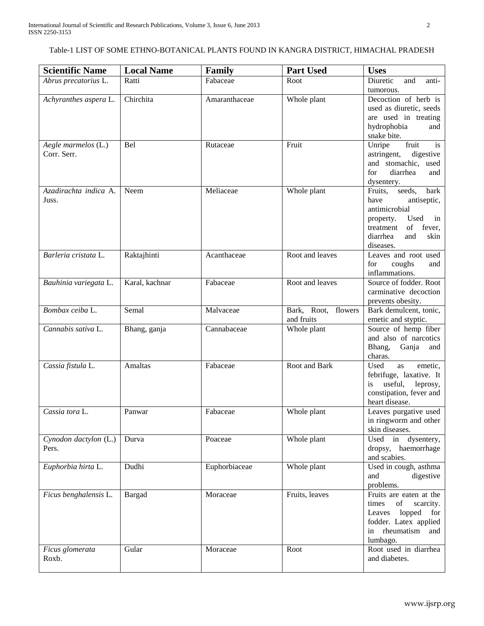# Table-1 LIST OF SOME ETHNO-BOTANICAL PLANTS FOUND IN KANGRA DISTRICT, HIMACHAL PRADESH

| <b>Scientific Name</b>             | <b>Local Name</b> | Family        | <b>Part Used</b>                     | <b>Uses</b>                                                                                                                                                                                                                                 |
|------------------------------------|-------------------|---------------|--------------------------------------|---------------------------------------------------------------------------------------------------------------------------------------------------------------------------------------------------------------------------------------------|
| Abrus precatorius L.               | Ratti             | Fabaceae      | Root                                 | Diuretic<br>and<br>anti-                                                                                                                                                                                                                    |
|                                    |                   |               |                                      | tumorous.                                                                                                                                                                                                                                   |
| Achyranthes aspera L.              | Chirchita         | Amaranthaceae | Whole plant                          | Decoction of herb is<br>used as diuretic, seeds<br>are used in treating<br>hydrophobia<br>and<br>snake bite.                                                                                                                                |
| Aegle marmelos (L.)<br>Corr. Serr. | Bel               | Rutaceae      | Fruit                                | Unripe<br>fruit<br>is<br>astringent,<br>digestive<br>and stomachic, used<br>for<br>diarrhea<br>and<br>dysentery.                                                                                                                            |
| Azadirachta indica A.<br>Juss.     | Neem              | Meliaceae     | Whole plant                          | Fruits,<br>seeds,<br>bark<br>have<br>antiseptic,<br>antimicrobial<br>Used<br>in<br>property.<br>of fever,<br>treatment<br>skin<br>and<br>diarrhea<br>diseases.                                                                              |
| Barleria cristata L.               | Raktajhinti       | Acanthaceae   | Root and leaves                      | Leaves and root used<br>for<br>coughs<br>and<br>inflammations.                                                                                                                                                                              |
| Bauhinia variegata L.              | Karal, kachnar    | Fabaceae      | Root and leaves                      | Source of fodder. Root<br>carminative decoction<br>prevents obesity.                                                                                                                                                                        |
| Bombax ceiba L.                    | Semal             | Malvaceae     | Bark, Root,<br>flowers<br>and fruits | Bark demulcent, tonic,<br>emetic and styptic.                                                                                                                                                                                               |
| Cannabis sativa L.                 | Bhang, ganja      | Cannabaceae   | Whole plant                          | Source of hemp fiber<br>and also of narcotics<br>Bhang, Ganja<br>and<br>charas.                                                                                                                                                             |
| Cassia fistula L.                  | Amaltas           | Fabaceae      | Root and Bark                        | Used<br>as<br>emetic,<br>febrifuge, laxative. It<br>useful,<br>leprosy,<br>is<br>constipation, fever and<br>heart disease.                                                                                                                  |
| Cassia tora L.                     | Panwar            | Fabaceae      | Whole plant                          | Leaves purgative used<br>in ringworm and other<br>skin diseases.                                                                                                                                                                            |
| Cynodon dactylon (L.)<br>Pers.     | Durva             | Poaceae       | Whole plant                          | Used in<br>dysentery,<br>dropsy,<br>haemorrhage<br>and scabies.                                                                                                                                                                             |
| Euphorbia hirta L.                 | Dudhi             | Euphorbiaceae | Whole plant                          | Used in cough, asthma<br>digestive<br>and<br>problems.                                                                                                                                                                                      |
| Ficus benghalensis L.              | <b>Bargad</b>     | Moraceae      | Fruits, leaves                       | Fruits are eaten at the<br>$% \left( \left( \mathcal{A},\mathcal{A}\right) \right) =\left( \mathcal{A},\mathcal{A}\right)$ of<br>times<br>scarcity.<br>lopped<br>Leaves<br>for<br>fodder. Latex applied<br>in rheumatism<br>and<br>lumbago. |
| Ficus glomerata<br>Roxb.           | Gular             | Moraceae      | Root                                 | Root used in diarrhea<br>and diabetes.                                                                                                                                                                                                      |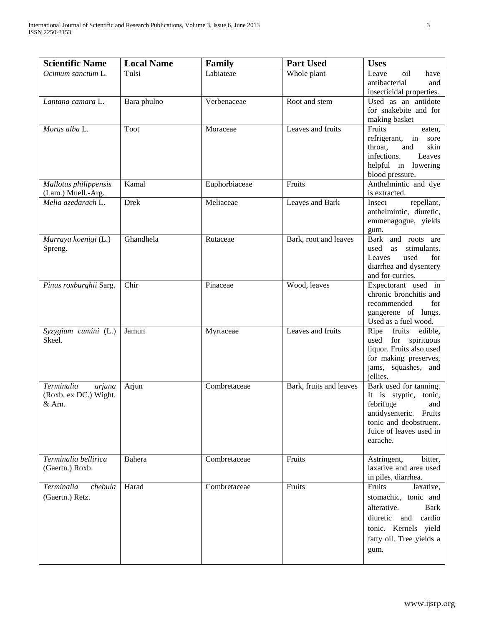| <b>Scientific Name</b>                                  | <b>Local Name</b> | <b>Family</b> | <b>Part Used</b>        | <b>Uses</b>                                                                                                                                                    |
|---------------------------------------------------------|-------------------|---------------|-------------------------|----------------------------------------------------------------------------------------------------------------------------------------------------------------|
| Ocimum sanctum L.                                       | Tulsi             | Labiateae     | Whole plant             | oil<br>Leave<br>have<br>antibacterial<br>and<br>insecticidal properties.                                                                                       |
| Lantana camara L.                                       | Bara phulno       | Verbenaceae   | Root and stem           | Used as an antidote<br>for snakebite and for<br>making basket                                                                                                  |
| Morus alba $L$ .                                        | Toot              | Moraceae      | Leaves and fruits       | Fruits<br>eaten,<br>refrigerant, in<br>sore<br>and<br>throat.<br>skin<br>infections.<br>Leaves<br>helpful in lowering<br>blood pressure.                       |
| Mallotus philippensis<br>(Lam.) Muell.-Arg.             | Kamal             | Euphorbiaceae | Fruits                  | Anthelmintic and dye<br>is extracted.                                                                                                                          |
| Melia azedarach L.                                      | <b>Drek</b>       | Meliaceae     | Leaves and Bark         | repellant,<br>Insect<br>anthelmintic, diuretic,<br>emmenagogue, yields<br>gum.                                                                                 |
| Murraya koenigi (L.)<br>Spreng.                         | Ghandhela         | Rutaceae      | Bark, root and leaves   | Bark and roots are<br>used as<br>stimulants.<br>used<br>for<br>Leaves<br>diarrhea and dysentery<br>and for curries.                                            |
| Pinus roxburghii Sarg.                                  | Chir              | Pinaceae      | Wood, leaves            | Expectorant used in<br>chronic bronchitis and<br>recommended<br>for<br>gangerene of lungs.<br>Used as a fuel wood.                                             |
| Syzygium cumini (L.)<br>Skeel.                          | Jamun             | Myrtaceae     | Leaves and fruits       | Ripe fruits<br>edible,<br>used<br>for spirituous<br>liquor. Fruits also used<br>for making preserves,<br>jams, squashes, and<br>jellies.                       |
| Terminalia<br>arjuna<br>(Roxb. ex DC.) Wight.<br>& Arn. | Arjun             | Combretaceae  | Bark, fruits and leaves | Bark used for tanning.<br>It is styptic, tonic,<br>febrifuge<br>and<br>antidysenteric. Fruits<br>tonic and deobstruent.<br>Juice of leaves used in<br>earache. |
| Terminalia bellirica<br>(Gaertn.) Roxb.                 | Bahera            | Combretaceae  | Fruits                  | Astringent,<br>bitter,<br>laxative and area used<br>in piles, diarrhea.                                                                                        |
| Terminalia<br>chebula<br>(Gaertn.) Retz.                | Harad             | Combretaceae  | Fruits                  | Fruits<br>laxative,<br>stomachic, tonic and<br>alterative.<br>Bark<br>diuretic<br>cardio<br>and<br>tonic. Kernels yield<br>fatty oil. Tree yields a<br>gum.    |